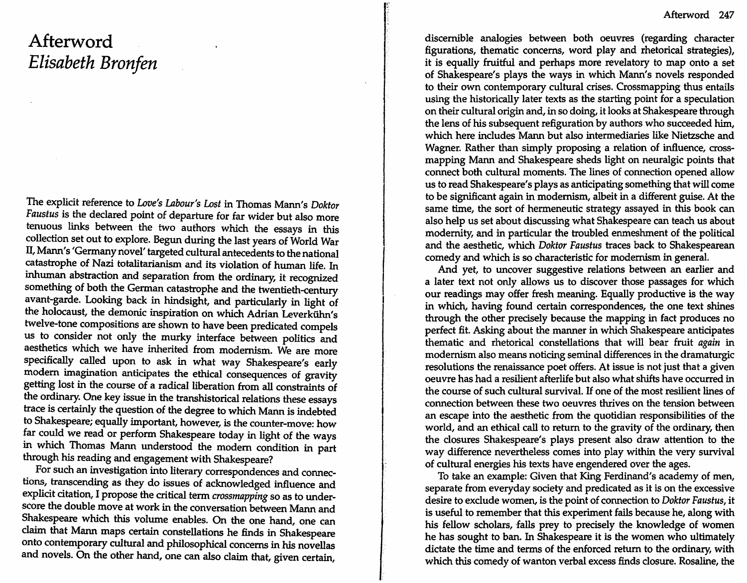## **Afterword**  *Elisabeth Bronfen*

The explicit reference to *Love's Labour's Lost* in Thomas Mann's *Doktor Faustus* is the declared point of departure for far wider but also more tenuous links between the two authors which the essays in this collection set out to explore. Begun during the last years of World War IT, Mann's 'Germany novel' targeted cultural antecedents to the national catastrophe of Nazi totalitarianism and its violation of human life. In inhuman abstraction and separation from the ordinary, it recognized something of both the German catastrophe and the twentieth-century avant-garde. Looking back in hindsight, and particularly in light of the holocaust, the demonic inspiration on which Adrian Leverkühn's twelve-tone compositions are shown to have been predicated compels us to consider not only the murky interface between politics and aesthetics which we have inherited from modernism. We are more specifically called upon to ask in what way Shakespeare's early modem imagination anticipates the ethical consequences of gravity getting lost in the course of a radical liberation from all constraints of the ordinary. One key issue in the transhistorical relations these essays trace is certainly the question of the degree to which Mann is indebted to Shakespeare; equally important, however, is the counter-move: how far could we read or perform Shakespeare today in light of the ways in which Thomas Mann understood the modem condition in part through his reading and engagement with Shakespeare?

For such an investigation into literary correspondences and connections, transcending as they do issues of acknowledged influence and explicit citation, I propose the critical term *crossmapping* so as to underscore the double move at work in the conversation between Mann and Shakespeare which this volume enables. On the one hand, one can claim that Mann maps certain constellations he finds in Shakespeare onto contemporary cultural and philosophical concerns in his novellas and novels. On the other hand, one can also claim that, given certain,

discernible analogies between both oeuvres (regarding character figurations, thematic concerns, word play and rhetorical strategies), it is equally fruitful and perhaps more revelatory to map onto a set of Shakespeare's plays the ways in which Mann's novels responded to their own contemporary cultural crises. Crossmapping thus entails using the historically later texts as the starting point for a speculation on their cultural origin and, in so doing, it looks at Shakespeare through the lens of his subsequent refiguration by authors who succeeded him, which here includes Mann but also intermediaries like Nietzsche and Wagner. Rather than simply proposing a relation of influence, crossmapping Mann and Shakespeare sheds light on neuralgic points that connect both cultural moments. The lines of connection opened allow us to read Shakespeare's plays as anticipating something that will come to be significant again in modernism, albeit in a different guise. At the same time, the sort of hermeneutic strategy assayed in this book can also help us set about discussing what Shakespeare can teach us about modernity, and in particular the troubled enmeshment of the political and the aesthetic, which *Doktor Faustus* traces back to Shakespearean comedy and which is so characteristic for modernism in general.

And yet, to uncover suggestive relations between an earlier and a later text not only allows us to discover those passages for which our readings may offer fresh meaning. Equally productive is the way in which, having found certain correspondences, the one text shines through the other precisely because the mapping in fact produces no perfect fit. Asking about the manner in which Shakespeare anticipates thematic and rhetorical constellations that will bear fruit *again* in modernism also means noticing seminal differences in the dramaturgic resolutions the renaissance poet offers. At issue is not just that a given oeuvre has had a resilient afterlife but also what shifts have occurred in the course of such cultural survival. *H* one of the most resilient lines of connection between these two oeuvres thrives on the tension between an escape into the aesthetic from the quotidian responsibilities of the world, and an ethical call to return to the gravity of the ordinary, then the closures Shakespeare's plays present also draw attention to the way difference nevertheless comes into play within the very survival of cultural energies his texts have engendered over the ages.

To take an example: Given that King Ferdinand's academy of men, separate from everyday society and predicated as it is on the excessive desire to exclude women, is the point of connection to *Doktor Faustus,* It is useful to remember that this experiment fails because he, along with his fellow scholars, falls prey to precisely the knowledge of women he has sought to ban. In Shakespeare it is the women who ultimately dictate the time and terms of the enforced return to the ordinary, with which this comedy of wanton verbal excess finds closure. Rosaline, the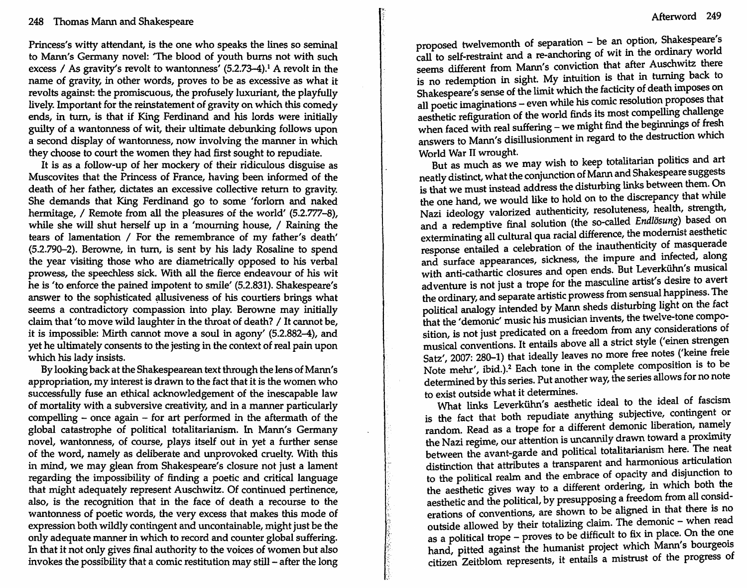Princess's witty attendant, is the one who speaks the lines so seminal to Mann's Germany novel: 'The blood of youth burns not with such excess / As gravity's revolt to wantonness'  $(5.2.73-4).$ <sup>1</sup> A revolt in the name of gravity, in other words, proves to be as excessive as what it revolts against: the promiscuous, the profusely luxuriant, the playfully lively. Important for the reinstatement of gravity on which this comedy ends, in turn, is that if King Ferdinand and his lords were initially guilty of a wantonness of wit, their ultimate debunking follows upon a second display of wantonness, now involving the manner in which they choose to court the women they had first sought to repudiate.

It is as a follow-up of her mockery of their ridiculous disguise as Muscovites that the Princess of France, having been informed of the death of her father, dictates an excessive collective return to gravity. She demands that King Ferdinand go to some 'forlorn and naked hermitage, / Remote from all the pleasures of the world' (5.2.777-8), while she will shut herself up in a 'mourning house, / Raining the tears of lamentation / For the remembrance of my father's death' (5.2.790-2). Berowne, in turn, is sent by his lady Rosaline to spend the year visiting those who are diametrically opposed to his verbal prowess, the speechless sick. With all the fierce endeavour of his wit he is 'to enforce the pained impotent to smile' (5.2.831). Shakespeare's answer to the sophisticated allusiveness of his courtiers brings what seems a contradictory compassion into play. Berowne may initially claim that 'to move wild laughter in the throat of death? / It cannot be, it is impossible: Mirth cannot move a soul in agony' (5.2.882-4), and yet he ultimately consents to the jesting in the context of real pain upon which his lady insists.

By looking back at the Shakespearean text through the lens of Mann's appropriation, my interest is drawn to the fact that it is the women who successfully fuse an ethical acknowledgement of the inescapable law of mortality with a subversive creativity, and in a manner particularly compelling - once again - for art performed in the aftermath of the global catastrophe of political totalitarianism. In Mann's Germany novel, wantonness, of course, plays itself out in yet a further sense of the word, namely as deliberate and unprovoked cruelty. With this in mind, we may glean from Shakespeare's closure not just a lament regarding the impossibility of finding a poetic and critical language that might adequately represent Auschwitz. Of continued pertinence, also, is the recognition that in the face of death a recourse to the wantonness of poetic words, the very excess that makes this mode of expression both wildly contingent and uncontainable, might just be the only adequate manner in which to record and counter global suffering. In that it not only gives final authority to the voices of women but also invokes the possibility that a comic restitution may still - after the long proposed twelvemonth of separation - be an option, Shakespeare's call to self-restraint and a re-anchoring of wit in the ordinary world seems different from Mann's conviction that after Auschwitz there is no redemption in sight. My intuition is that in turning back to Shakespeare's sense of the limit which the facticity of death Imposes on all poetic imaginations - even while his comic resolution proposes that aesthetic refiguration of the world finds its most compelling challenge when faced with real suffering - we might find the beginnings of fresh Answers to Mann's disillusionment in regard to the destruction which<br>World War II wrought.<br>But as much as we may wish to keep totalitarian politics and art

But as much as we may wish to keep totalitarian politics and art neatly distinct, what the conjunction of Mann and Shakespeare suggests is that we must instead address the disturbing links between them. On the one hand, we would like to hold on to the discrepancy that while Nazi ideology valorized authenticity, resoluteness, health, strength, and a redemptive final solution (the so-called Endlösung) based on exterminating all cultural qua racial difference, the moderrust aesthetic response entailed a celebration of the inauthenticity of masquerade and surface appearances, sickness, the impure and infected, along with anti-cathartic closures and open ends. But Leverkühn's musical adventure is not just a trope for the masculine artist's desire to avert the ordinary, and separate artistic prowess from sensual happmess. The political analogy intended by Mann sheds disturbing light on the fact that the 'demonic' music his musician invents, the twelve-tone composition, is not just predicated on a freedom from any considerations of musical conventions. It entails above all a strict style ('einen strengen Satz', 2007: 280-1) that ideally leaves no more free notes ('keine freie Note mehr', ibid.).<sup>2</sup> Each tone in the complete composition is to be determined by this series. Put another way, the series allows for no note to exist outside what it determines.

What links Leverkiihn's aesthetic ideal to the ideal of fascism is the fact that both repudiate anything subjective, contingent or random. Read as a trope for a different demonic liberation, namely the Nazi regime, our attention is uncannily drawn toward a proximity between the avant-garde and political totalitarianism here. The neat distinction that attributes a transparent and harmonious articulation to the political realm and the embrace of opacity and disjunction to the aesthetic gives way to a different ordering, in which both the aesthetic and the political, by presupposing a freedom from all considerations of conventions, are shown to be aligned in that there is no outside allowed by their totalizing claim. The demonic - when read as a political trope - proves to be difficult to fix in place. On the one hand, pitted against the humanist project which Mann's bourgeois citizen Zeitblom represents, it entails a mistrust of the progress of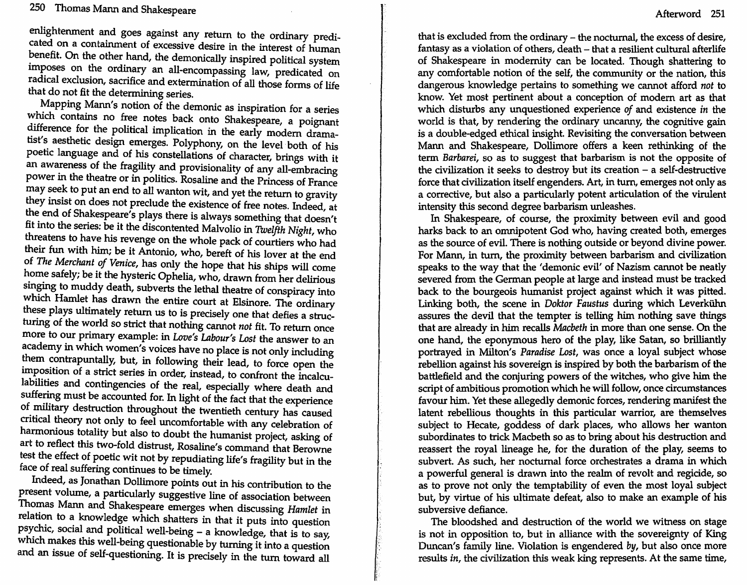enlightenment and goes against any return to the ordinary predicated on a containment of excessive desire in the interest of human benefit. On the other hand, the demonically inspired political system imposes on the ordinary an all-encompassing law, predicated on radical exclusion, sacrifice and extermination of all those forms of life that do not fit the determining series.

Mapping Mann's notion of the demonic as inspiration for a series which contains no free notes back onto Shakespeare, a poignant difference for the political implication in the early modern dramatist's aesthetic design emerges. Polyphony, on the level both of his poetic language and of his constellations of character, brings with it an awareness of the fragility and provisionality of any all-embracing power in the theatre or in politics. Rosaline and the Princess of France may seek to put an end to all wanton wit, and yet the return to gravity they insist on does not preclude the existence of free notes. Indeed, at the end of Shakespeare's plays there is always something that doesn't fit mto the senes: be It the discontented Malvolio in *Twelfth Night,* who threatens to have his revenge on the whole pack of courtiers who had their fun with him; be it Antonio, who, bereft of his lover at the end of *The Merchant of Venice,* has only the hope that his ships will come home safely; be it the hysteric Ophelia, who, drawn from her delirious singing to muddy death, subverts the lethal theatre of conspiracy into which Hamlet has drawn the entire court at Elsinore. The ordinary these plays ultimately return us to is precisely one that defies a structuring of the world so strict that nothing carmot *not* fit. To return once more to our primary example: in *Love's Labour's Lost* the answer to an academy in which women's voices have no place is not only including them contrapuntally, but, in following their lead, to force open the impOSition of a strict series in order, instead, to confront the incalculabilities and contingencies of the real, especially where death and suffering must be accounted for. In light of the fact that the experience of military destruction throughout the twentieth century has caused critical theory not only to feel uncomfortable with any celebration of harmonious totality but also to doubt the humanist project, asking of art to reflect this two-fold distrust, Rosaline's command that Berowne test the effect of poetic wit not by repudiating life's fragility but in the face of real suffering continues to be timely.

Indeed, as Jonathan Dollimore points out in his contribution to the present volume, a particularly suggestive line of association between Thomas Marm and Shakespeare emerges when discussing *Hamlet* in relation to a knowledge which shatters in that it puts into question psychic, social and political well-being - a knowledge, that is to say, which makes this well-being questionable by turning it into a question and an issue of self-questioning. It is precisely in the turn toward all

that is excluded from the ordinary - the nocturnal, the excess of desire, fantasy as a violation of others, death - that a resilient cultural afterlife of Shakespeare in modernity can be located. Though shattering to any comfortable notion of the self, the community or the nation, this dangerous knowledge pertains to something we cannot afford *not* to know. Yet most pertinent about a conception of modern art as that which disturbs any unquestioned experience *of* and existence *in* the world is that, by rendering the ordinary uncanny, the cognitive gain is a double-edged ethical insight. Revisiting the conversation between Mann and Shakespeare, Dollimore offers a keen rethinking of the term *Barbarei,* so as to suggest that barbarism is not the opposite of the civilization it seeks to destroy but its creation  $-$  a self-destructive force that civilization itself engenders. Art, in turn, emerges not only as a corrective, but also a particularly potent articulation of the virulent intensity this second degree barbarism unleashes.

In Shakespeare, of course, the proximity between evil and good harks back to an omnipotent God who, having created both, emerges as the source of evil. There is nothing outside or beyond divine power. For Mann, in turn, the proximity between barbarism and civilization speaks to the way that the 'demonic evil' of Nazism cannot be neatly severed from the German people at large and instead must be tracked back to the bourgeois humanist project against which it was pitted. Linking both, the scene in *Doktor Faustus* during which Leverkiihn assures the devil that the tempter is telling him nothing save things that are already in him recalls *Macbeth* in more than one sense. On the one hand, the eponymous hero of the play, like Satan, so brilliantly portrayed in Milton's *Paradise Lost,* was once a loyal subject whose rebellion against his sovereign is inspired by both the barbarism of the battlefield and the conjuring powers of the witches, who give him the script of ambitious promotion which he will follow, once circumstances favour him. Yet these allegedly demonic forces, rendering manifest the latent rebellious thoughts in this particular warrior, are themselves subject to Hecate, goddess of dark places, who allows her wanton subordinates to trick Macbeth so as to bring about his destruction and reassert the royal lineage he, for the duration of the play, seems to subvert. As such, her nocturnal force orchestrates a drama in which a powerful general is drawn into the realm of revolt and regicide, so as to prove not only the temptability of even the most loyal subject but, by virtue of his ultimate defeat, also to make an example of his subversive defiance.

The bloodshed and destruction of the world we witness on stage is not in opposition to, but in alliance with the sovereignty of King Duncan's family line. Violation is engendered by, but also once more results *in,* the civilization this weak king represents. At the same time,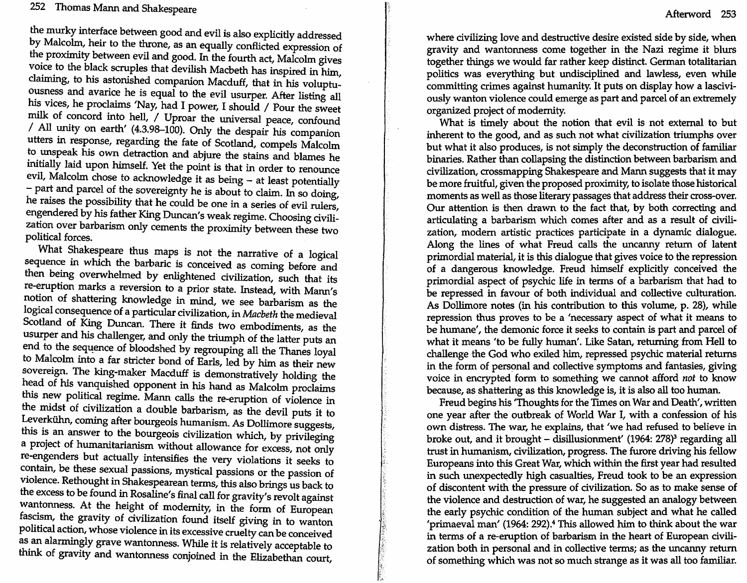the murky interface between good and evil is also explicitly addressed by Malcolm, heir to the throne, as an equally conflicted expression of the proximity between evil and good. In the fourth act, Malcolm gives voice to the black scruples that devilish Macbeth has inspired in him, claiming, to his astonished companion Macduff, that in his voluptuousness and avarice he is equal to the evil usurper. After listing all his vices, he proclaims 'Nay, had I power, I should / Pour the sweet milk of concord into hell, / Uproar the universal peace, confound / All unity on earth' (4.3.98-100). Only the despair his companion utters in response, regarding the fate of Scotland, compels· Malcolm to unspeak his own detraction and abjure the stains and blames he initially laid upon himself. Yet the point is that in order to renounce evil, Malcolm chose to acknowledge it as being - at least potentially - part and parcel of the sovereignty he is about to claim. In so doing, he raises the possibility that he could be one in a series of evil rulers, engendered by his father King Duncan's weak regime. Choosing civilization over barbarism only cements the proximity between these two political forces.

What Shakespeare thus maps is not the narrative of a logical sequence in which the barbaric is conceived as coming before and then being overwhelmed by enlightened civilization, such that its re-eruption marks a reversion to a prior state. Instead, with Mann's notion of shattering knowledge in mind, we see barbarism as the logical consequence of a particular civilization, in *Macbeth* the medieval Scotland of King Duncan. There it finds two embodiments, as the usurper and his challenger, and only the triumph of the latter puts an end to the sequence of bloodshed by regrouping all the Thanes loyal to Malcolm into a far stricter bond of Earls, led by him as their new sovereign. The king-maker Macduff is demonstratively holding the head of his vanquished opponent in his hand as Malcolm proclaims this new political regime. Mann calls the re-eruption of violence in the midst of civilization a double barbarism, as the devil puts it to Leverkiihn, coming after bourgeois humanism. As Dollimore suggests, this is an answer to the bourgeois civilization which, by privileging a project of humanitarianism without allowance for excess, not only re-engenders but actually intensifies the very violations it seeks to contain, be these sexual passions, mystical passions or the passion of violence. Rethought in Shakespearean terms, this also brings us back to the excess to be found in Rosaline's final call for gravity's revolt against wantonness. At the height of modernity, in the form of European faScism, the gravity of civilization found itself giving in to wanton political action, whose violence in its excessive cruelty can be conceived as an alarmingly grave wantonness. While it is relatively acceptable to think of gravity and wantonness conjoined in the Elizabethan court,

where civilizing love and destructive desire existed side by side, when gravity and wantonness come together in the Nazi regime it blurs together things we would far rather keep distinct. German totalitanan politics was everything but undisciplined and lawless, even while committing crimes against humanity. It puts on display how a lasciviously wanton violence could emerge as part and parcel of an extremely organized project of modernity.

What is timely about the notion that evil is not external to but inherent to the good, and as such not what civilization triumphs over but what it also produces, is not simply the deconstruction of familiar binaries. Rather than collapsing the distinction between barbarism and civilization, crossmapping Shakespeare and Mann suggests that it may be more fruitful, given the proposed proximity, to isolate those historical moments as well as those literary passages that address their cross-over. Our attention is then drawn to the fact that, by both correcting and articulating a barbarism which comes after and as a result of civilization, modem artistic practices participate in a dynamic dialogue. Along the lines of what Freud calls the uncanny return of latent primordial material, it is this dialogue that gives voice to the repression of a dangerous knowledge. Freud himself explicitly conceived the primordial aspect of psychic life in terms of a barbarism that had to be repressed in favour of both individual and collective culturation. As Dollimore notes (in his contribution to this volume, p. 28), while repression thus proves to be a 'necessary aspect of what it means to be humane', the demonic force it seeks to contain is part and parcel of what it means 'to be fully human'. Like Satan, returning from Hell to challenge the God who exiled him, repressed psychic material returns in the form of personal and collective symptoms and fantasies, giving voice in encrypted form to something we cannot afford *not* to know because, as shattering as this knowledge is, it is also all too human.

Freud begins his 'Thoughts for the Times on War and Death', written one year after the outbreak of World War I, with a confession of his own distress. The war, he explains, that 'we had refused to believe in broke out, and it brought - disillusionment' (1964: 278)<sup>3</sup> regarding all trust in humanism, civilization, progress. The furore driving his fellow Europeans into this Great War, which within the first year had resulted in such unexpectedly high casualties, Freud took to be an expression of discontent with the pressure of civilization. So as to make sense of the violence and destruction of war, he suggested an analogy between the early psychic condition of the human subject and what he called 'primaeval man' (1964: 292). $4$  This allowed him to think about the war in terms of a re-eruption of barbarism in the heart of European civilization both in personal and in collective terms; as the uncanny return of something which was not so much strange as it was all too familiar.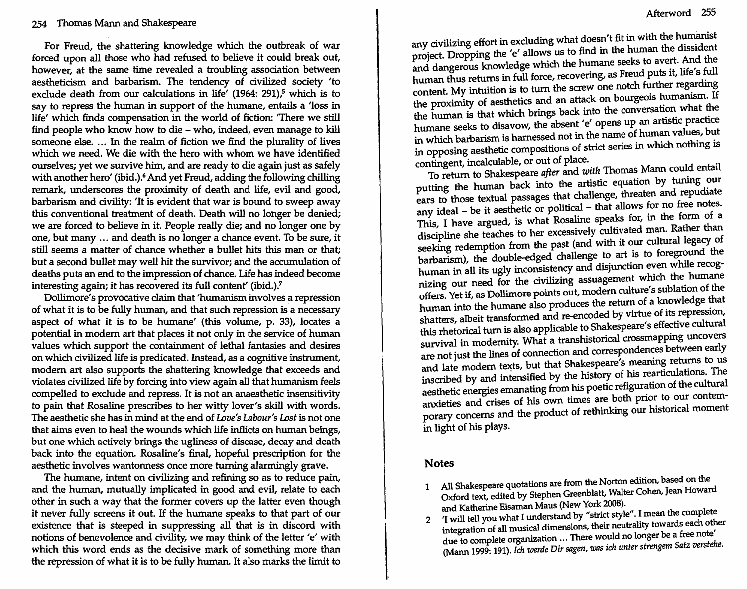For Freud, the shattering knowledge which the outbreak of war forced upon all those who had refused to believe it could break out, however, at the same time revealed a troubling association between aestheticism and barbarism. The tendency of civilized society 'to exclude death from our calculations in life'  $(1964: 291)$ <sup>5</sup> which is to say to repress the human in support of the humane, entails a 'loss in life' which finds compensation in the world of fiction: 'There we still find people who know how to die - who, indeed, even manage to kill someone else. ... In the realm of fiction we find the plurality of lives which we need. We die with the hero with whom we have identified ourselves; yet we survive him, and are ready to die again just as safely with another hero' (ibid.).<sup>6</sup> And yet Freud, adding the following chilling remark, underscores the proximity of death and life, evil and good, barbarism and civility: 'It is evident that war is bound to sweep away this conventional treatment of death. Death will no longer be denied; we are forced to believe in it. People really die; and no longer one by one, but many ... and death is no longer a chance event. To be sure, it still seems a matter of chance whether a bullet hits this man or that; but a second bullet may well hit the survivor; and the accumulation of deaths puts an end to the impression of chance. Life has indeed become interesting again; it has recovered its full content' (ibid.).?

Dollimore's provocative claim that 'humanism involves a repression of what it is to be fully human, and that such repression is a necessary aspect of what it is to be humane' (this volume, p. 33), locates a potential in modern art that places it not only in the service of human values which support the containment of lethal fantasies and desires on which civilized life is predicated. Instead, as a cognitive instrument, modem art also supports the shattering knowledge that exceeds and violates civilized life by forcing into view again all that humanism feels compelled to exclude and repress. It is not an anaesthetic insensitivity to pam that Rosaline prescribes to her witty lover's skill with words. The aesthetic she has in mind at the end of *Love's Labour's Lost* is not one that aims even to heal the wounds which life inflicts on human beings, but one which actively brings the ugliness of disease, decay and death back into the equation. Rosaline's final, hopeful prescription for the aesthetic involves wantonness once more turning alarmingly grave.

The humane, intent on civilizing and refining so as to reduce pain, and the human, mutually implicated in good and evil, relate to each other in such a way that the former covers up the latter even though It never fully screens it out. If the humane speaks to that part of our existence that is steeped in suppressing all that is in discord with notions of benevolence and civility, we may think of the letter 'e' with which this word ends as the decisive mark of something more than the repression of what it is to be fully human. It also marks the limit to

any civilizing effort in excluding what doesn't fit in with the humanist project. Dropping the 'e' allows us to find in the human the dissident and dangerous knowledge which the humane seeks to avert. And the human thus returns in full force, recovering, as Freud puts it, life's full content. My intuition is to turn the screw one notch further regarding the proximity of aesthetics and an attack on bourgeois humanism. If the human is that which brings back into the conversation what the humane seeks to disavow, the absent 'e' opens up an artistic practice in which barbarism is harnessed not in the name of human values, but in opposing aesthetic compositions of strict series in which nothing is

To return to Shakespeare *after* and *with* Thomas Mann could entail putting the human back into the artistic equation by tuning our ears to those textual passages that challenge, threaten and repudiate any ideal - be it aesthetic or political - that allows for no free notes. This, I have argued, is what Rosaline speaks for, in the form of a discipline she teaches to her excessively cultivated man. Rather than seeking redemption from the past (and with it our cultural legacy of barbarism), the double-edged challenge to art is to foreground the human in all its ugly inconsistency and disjunction even while recognizing our need for the civilizing assuagement which the humane offers. Yet if, as Dollimore points out, modem culture's sublation of the human into the humane also produces the return of a knowledge that shatters, albeit transformed and re-encoded by virtue of its repression, this rhetorical turn is also applicable to Shakespeare's effective cultural survival in modernity. What a transhistorical crossmapping uncovers are not just the lines of connection and correspondences between early and late modem texts, but that Shakespeare's meaning returns to us inscribed by and intensified by the history of his rearticulations. The aesthetic energies emanating from his poetic refiguration of the cultural anxieties and crises of his own times are both prior to our contemporary concerns and the product of rethinking our historical moment in light of his plays.

## Notes

- 1 All Shakespeare quotations are from the Norton edition, based on the<br>Contable Welter Cohen Jean Howare Oxford text, edited by Stephen Greenblatt, Walter Cohen, Jean Howard and Katherine Eisaman Maus (New York 2008).
- 2 'I will tell you what I understand by "strict style". I mean the complete integration of all musical dimensions, their neutrality towards each other due to complete organization ... There would no longer be a free note (Mann 1999: 191). *Ich werde Dir sagen,* was *ich unter strengem Satz verstehe.*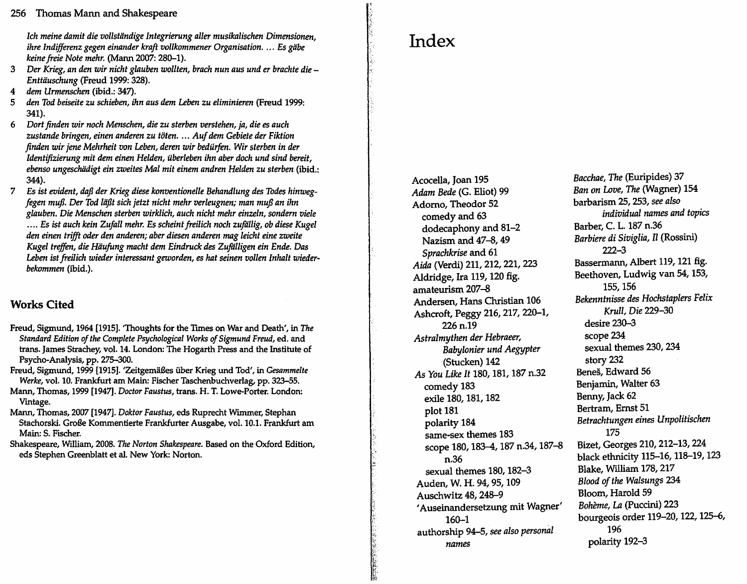*Ich meine damit die vollstandige Integrierung aller musikalischen Dimensionen, ihre Indifferenz gegen einander kraft vollkommener Organisation .* .. , Es *giibe keine freie Note mehr.* (Mann 2007: 280-1).

- 3 *Der Krieg, an den wir nicht glauben wolIten, brach nun aus und er brachte die - Enttauschung* (Freud 1999: 328).
- *4 dem Urmenschen* (ibid.: 347).
- *5 den Tod beiseite* zu *schieben, ihn aus dem Leben zu eliminieren* (Freud 1999: 341).
- *6 Dort Jinden wir noch Menschen, die zu sterben verstehen, ja, die es auch zustande bringen, einen anderen zu toten.* . .. *Auf dem Gebiete der Fiktion*  finden wir jene Mehrheit von Leben, deren wir bedürfen. Wir sterben in der Identifizierung mit dem einen Helden, überleben ihn aber doch und sind bereit, *ebenso ungeschiidigt ein zweites Mal mit einem andren Heiden zu sterben* (ibid.: 344).
- 7 Es *ist evident, daft der Krieg diese konventionelle Behandlung des Todes hinwegfegen muft. Der Tod laftt sich jetzt nicht mehr verleugnen; man muft an ihn glnuben. Die Menschen sterben wirklich, auch nicht mehr einzeln, sondern viele*  .... Es ist auch kein Zufall mehr. Es scheint freilich noch zufällig, ob diese Kugel *den einen trifft oder den anderen; aber diesen anderen mag leicht eine zweite*  Kugel treffen, die Häufung macht dem Eindruck des Zufälligen ein Ende. Das *Leben ist freilich wieder interessant geworden, es hat seinen vollen Inhalt wiederbekommen* (ibid.).

## **Works Cited**

- Freud, Sigmund, 1964 [1915]. 'Thoughts for the TImes on War and Death', in *The Standard Edition of the Complete Psychological Works of Sigmund Freud,* ed. and trans. James Strachey, vol. 14. London: The Hogarth Press and the Institute of PsychO-Analysis, pp. 275-300.
- Freud, Sigmund, 1999 [1915]. 'ZeitgemaBes fiber Krieg und Tod', in *Gesammelte Werke,* vol. 10. Frankfurt am Main: Fischer Taschenbuchverlag, pp. 323-55.
- Mann, Thomas, 1999 [1947]. *Doctor Faustus,* trans. H. T. Lowe-Porter. London: Vintage.
- Mann, Thomas, 2007 [1947]. *Doktor Faustus,* eds Ruprecht WImmer, Stephan Stachorski. GroBe Kommentierte Frankfurter Ausgabe, vol. 10.1. Frankfurt am Main: S. Fischer.
- Shakespeare, Wllliam, 2008. *The Norton Shakespeare.* Based on the Oxford Edition, eds Stephen Greenblatt et al. New York: Norton.

## **Index**

Acocella, Joan 195 *Adam Bede* (G. Eliot) 99 Adorno, Theodor 52 comedy and 63 dodecaphony and 81-2 Nazism and 47-8, 49 *Sprachkrise* and 61 *Aida* (Verdi) 211, 212, 221, 223 Aldridge, Ira 119, 120 fig. amateurism 207-8 Andersen, Hans Christian 106 Ashcroft, Peggy 216, 217, 220-1, 226 n.19 *Astralmythen der Hebraeer, Babylonier und Aegypter*  (Stucken) 142 *As You Like* It 180, 181, 187 n.32 comedy 183 exile 180, 181, 182 plot 181 polarity 184 same-sex themes 183 scope 180, 183-4, 187 n.34, 187-8 n.36 sexual themes 180, 182-3 Auden, W. H. 94, 95, 109 Auschwitz 48, 248-9 'Auseinandersetzung mit Wagner' 160-1 authorship 94-5, *see also personal names* 

*Bacchae, The* (Euripides) 37 *Ban on* Love, *The* (Wagner) 154 barbarism 25, 253, *see also individual names and topics*  Barber, C. L. 187 n.36 *Barbiere di Siviglia,* II (Rossini) 222-3 Bassermann, Albert 119, 121 fig. Beethoven, Ludwig van 54, 153, 155, 156 *Bekenntnisse des Hochstaplers Felix*  Krull, *Die* 229-30 desire 230-3 scope 234 sexual themes 230, 234 story 232 Benes, Edward 56 Benjamin, Walter 63 Benny, Jack 62 Bertram, Ernst 51 *Betrachtungen eines Unpolitischen*  175 Bizet, Georges 210, 212-13, 224 black ethnicity 115-16, 118-19, 123 Blake, William 178, 217 *Blood of the Walsungs 234*  Bloom, Harold 59 Bohème, La (Puccini) 223 bourgeois order 119-20,122,125-6, 196 polarity 192-3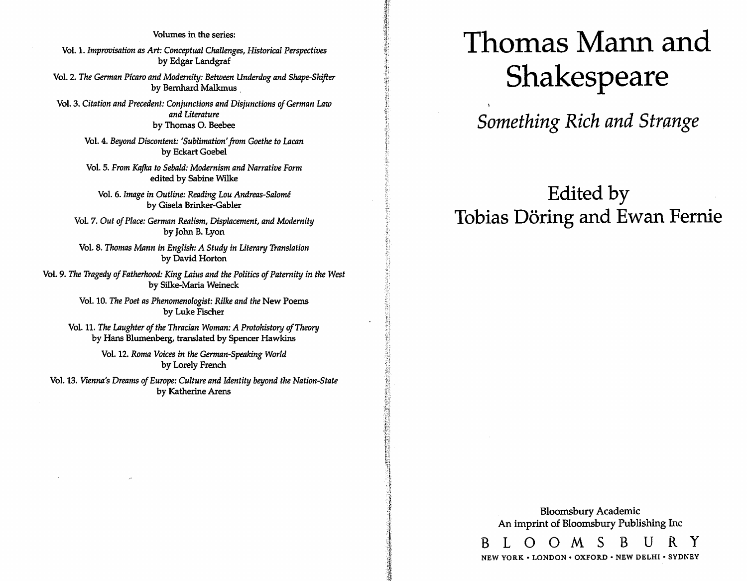## Volumes in the series: Vol. 1. *Improvisation as Art: Conceptual Challenges, Historical Perspectives*  by Edgar Landgraf Vol. 2. *The German P{caro and Modernity: Between Underdog and Shape-Shifter*  by Bernhard Malkmus ,

Vol. 3. *Citation and Precedent: Conjunctions and Disjunctions of German* Law *and Literature*  by Thomas O. Beebee

> Vol. 4. *Beyond Discontent: 'Sublimation' from Goethe to Lacan*  by Eckart Goebel

Vol. 5. *From Kafka to Sebald: Modernism and Narrative Form*  edited by Sabine Wilke

Vol. 6. *Image in Outline: Reading Lou Andreas-Salome*  by Gisela Brinker-Gabler

Vol. 7. *Out of Place: German Realism, Displacement, and Modernity*  by John B. Lyon

Vol. 8. *Thomas Mann in English: A Study in Literary Translation*  by David Horton

Vol. 9. *The Tragedy of Fatherhood: King Laius and the Politics of Paternity in the West*  by Silke-Maria Weineck

> Vol. 10. *The Poet as Phenomenologist: Rilke and the* New Poems by Luke Fischer

Vol. 11. *The Laughter of the Thracian Woman: A Protohistory of Theory*  by Hans Blumenberg, translated by Spencer Hawkins

> Vol. 12. *Roma Voices in the German-Speaking World*  by Lorely French

Vol. 13. *Vienna's Dreams of Europe: Culture and Identity beyond the Nation-State*  by Katherine Arens

# **Thomas Mann and**  Shakespeare

*Something Rich and Strange* 

# **Edited by Tobias Doring and Ewan Fernie**

Bloomsbury Academic An imprint of Bloomsbury Publishing Inc B L O O M S B U R Y

NEW YORK· LONDON· OXFORD· NEW DELHI· SYDNEY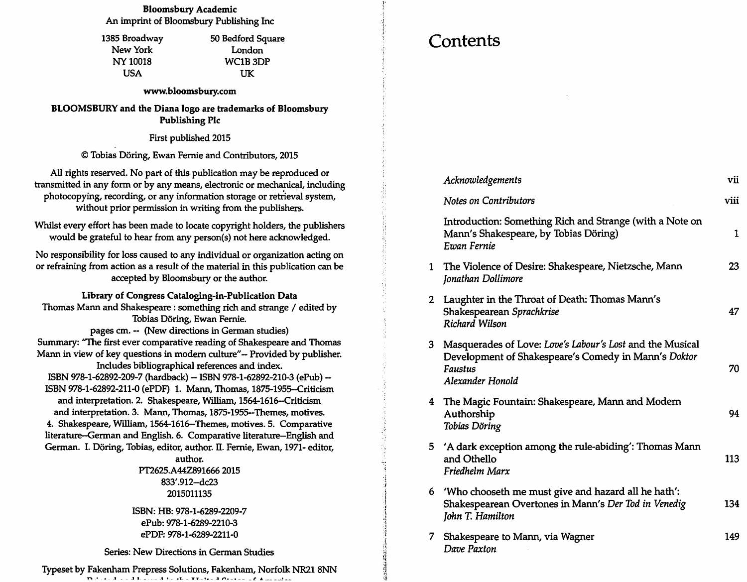### Bloomsbury Academic An imprint of Bloomsbury Publishing Inc

1385 Broadway New York NY 10018 USA

50 Bedford Square London WCIB3DP UK

#### www.bloomsbury.com

BLOOMSBURY and the Diana logo are trademarks of Bloomsbury Publishing Pic

First published 2015

© Tobias Doring, Ewan Fernie and Contributors, 2015

All rights reserved. No part of this publication may be reproduced or transmitted in any form or by any means, electronic or mechanical, including photocopying, recording, or any information storage or retrieval system, without prior permission in writing from the publishers.

Whilst every effort has been made to locate copyright holders, the publishers would be grateful to hear from any person(s) not here acknowledged.

No responsibility for loss caused to any individual or organization acting on or refraining from action as a result of the material in this publication can be accepted by Bloomsbury or the author.

Library of Congress Cataloging-in-Publication Data Thomas Mann and Shakespeare: something rich and strange / edited by Tobias Doring, Ewan Fernie.

pages em. - (New directions in German studies) Summary: "The first ever comparative reading of Shakespeare and Thomas Mann in view of key questions in modern culture"-- Provided by publisher. Includes bibliographical references and index. ISBN 978-1-62892-209-7 (hardback) - ISBN 978-1-62892-210-3 (ePub)- ISBN 978-1-62892-211-0 (ePDF) 1. Mann, Thomas, 1875-1955-Criticism

and interpretation. 2. Shakespeare, William, 1564-1616-Criticism and interpretation. 3. Mann, Thomas, 1875-1955-Themes, motives. 4. Shakespeare, William, 1564-1616-Themes, motives. 5. Comparative literature-German and English. 6. Comparative literature-English and German. I. Döring, Tobias, editor, author. II. Fernie, Ewan, 1971- editor,

> author. PT2625.A44Z891666 2015 833'.912-dc23 2015011135

ISBN: HB: 978-1-6289-2209-7 ePub: 978-1-6289-2210-3 ePDF: 978-1-6289-2211-0

Series: New Directions in German Studies

lYPeset by Fakenham Prepress Solutions, Fakenham, Norfolk NR21 8NN The dependence of the second that the TT star of Construction of Association

## **Contents**

|                | Acknowledgements                                                                                                                                        | vii  |
|----------------|---------------------------------------------------------------------------------------------------------------------------------------------------------|------|
|                | <b>Notes on Contributors</b>                                                                                                                            | viii |
|                | Introduction: Something Rich and Strange (with a Note on<br>Mann's Shakespeare, by Tobias Döring)<br>Ewan Fernie                                        | 1    |
| $\mathbf{1}$   | The Violence of Desire: Shakespeare, Nietzsche, Mann<br>Jonathan Dollimore                                                                              | 23   |
| $\mathbf{2}^-$ | Laughter in the Throat of Death: Thomas Mann's<br>Shakespearean Sprachkrise<br><b>Richard Wilson</b>                                                    | 47   |
| 3.             | Masquerades of Love: Love's Labour's Lost and the Musical<br>Development of Shakespeare's Comedy in Mann's Doktor<br><b>Faustus</b><br>Alexander Honold | 70   |
| 4              | The Magic Fountain: Shakespeare, Mann and Modern<br>Authorship<br>Tobias Döring                                                                         | 94   |
| 5              | 'A dark exception among the rule-abiding': Thomas Mann<br>and Othello<br>Friedhelm Marx                                                                 | 113  |
| 6.             | 'Who chooseth me must give and hazard all he hath':<br>Shakespearean Overtones in Mann's Der Tod in Venedig<br>John T. Hamilton                         | 134  |
| 7.             | Shakespeare to Mann, via Wagner<br>Dave Paxton                                                                                                          | 149  |